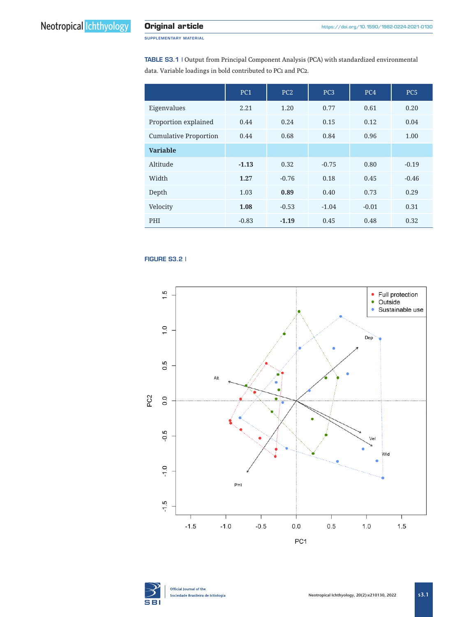SUPPLEMENTARY MATERIAL

TABLE S3.1 | Output from Principal Component Analysis (PCA) with standardized environmental data. Variable loadings in bold contributed to PC1 and PC2.

|                              | PC <sub>1</sub> | PC <sub>2</sub> | PC <sub>3</sub> | PC <sub>4</sub> | PC <sub>5</sub> |
|------------------------------|-----------------|-----------------|-----------------|-----------------|-----------------|
| Eigenvalues                  | 2.21            | 1.20            | 0.77            | 0.61            | 0.20            |
| Proportion explained         | 0.44            | 0.24            | 0.15            | 0.12            | 0.04            |
| <b>Cumulative Proportion</b> | 0.44            | 0.68            | 0.84            | 0.96            | 1.00            |
| <b>Variable</b>              |                 |                 |                 |                 |                 |
| Altitude                     | $-1.13$         | 0.32            | $-0.75$         | 0.80            | $-0.19$         |
| Width                        | 1.27            | $-0.76$         | 0.18            | 0.45            | $-0.46$         |
| Depth                        | 1.03            | 0.89            | 0.40            | 0.73            | 0.29            |
| Velocity                     | 1.08            | $-0.53$         | $-1.04$         | $-0.01$         | 0.31            |
| PHI                          | $-0.83$         | $-1.19$         | 0.45            | 0.48            | 0.32            |

## **FIGURE S3.2 |**





Official Journal of the Sociedade Brasileira de Ictiologia